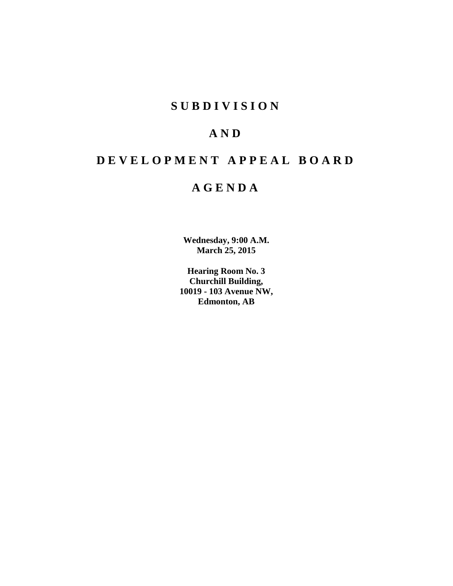## **SUBDIVISION**

# **AND**

# **DEVELOPMENT APPEAL BOARD**

## **AGENDA**

**Wednesday, 9:00 A.M. March 25, 2015**

**Hearing Room No. 3 Churchill Building, 10019 - 103 Avenue NW, Edmonton, AB**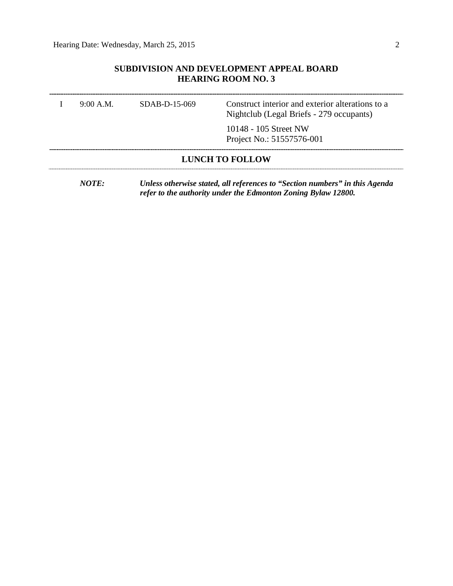## **SUBDIVISION AND DEVELOPMENT APPEAL BOARD HEARING ROOM NO. 3**

|                        | $9.00 \text{ A M}$ | SDAB-D-15-069 | Construct interior and exterior alterations to a<br>Nightclub (Legal Briefs - 279 occupants) |  |  |
|------------------------|--------------------|---------------|----------------------------------------------------------------------------------------------|--|--|
|                        |                    |               | 10148 - 105 Street NW<br>Project No.: 51557576-001                                           |  |  |
| <b>LUNCH TO FOLLOW</b> |                    |               |                                                                                              |  |  |

*NOTE: Unless otherwise stated, all references to "Section numbers" in this Agenda refer to the authority under the Edmonton Zoning Bylaw 12800.*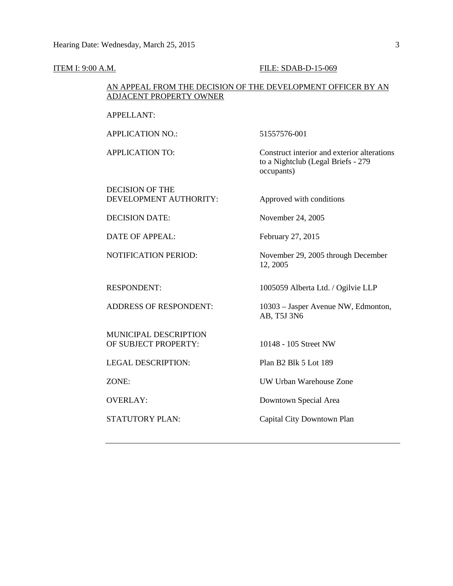#### **ITEM I: 9:00 A.M. FILE: SDAB-D-15-069**

#### AN APPEAL FROM THE DECISION OF THE DEVELOPMENT OFFICER BY AN ADJACENT PROPERTY OWNER

APPELLANT:

APPLICATION NO.: 51557576-001

12, 2005

APPLICATION TO: Construct interior and exterior alterations to a Nightclub (Legal Briefs - 279 occupants)

DECISION OF THE DEVELOPMENT AUTHORITY: Approved with conditions

DECISION DATE: November 24, 2005

DATE OF APPEAL: February 27, 2015

NOTIFICATION PERIOD: November 29, 2005 through December

MUNICIPAL DESCRIPTION OF SUBJECT PROPERTY: 10148 - 105 Street NW

LEGAL DESCRIPTION: Plan B2 Blk 5 Lot 189

RESPONDENT: 1005059 Alberta Ltd. / Ogilvie LLP

ADDRESS OF RESPONDENT: 10303 – Jasper Avenue NW, Edmonton, AB, T5J 3N6

ZONE: UW Urban Warehouse Zone

OVERLAY: Downtown Special Area

STATUTORY PLAN: Capital City Downtown Plan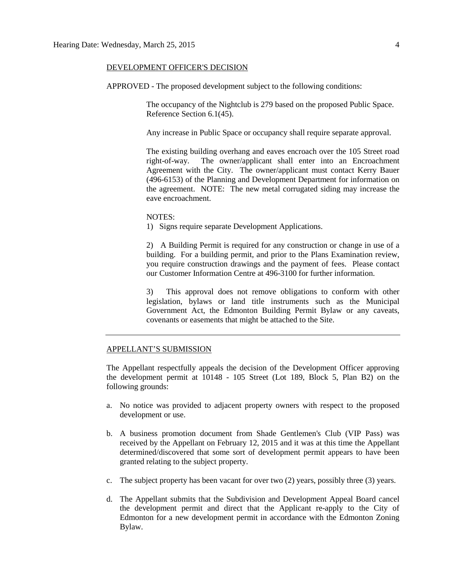#### DEVELOPMENT OFFICER'S DECISION

APPROVED - The proposed development subject to the following conditions:

The occupancy of the Nightclub is 279 based on the proposed Public Space. Reference Section 6.1(45).

Any increase in Public Space or occupancy shall require separate approval.

The existing building overhang and eaves encroach over the 105 Street road right-of-way. The owner/applicant shall enter into an Encroachment Agreement with the City. The owner/applicant must contact Kerry Bauer (496-6153) of the Planning and Development Department for information on the agreement. NOTE: The new metal corrugated siding may increase the eave encroachment.

NOTES:

1) Signs require separate Development Applications.

2) A Building Permit is required for any construction or change in use of a building. For a building permit, and prior to the Plans Examination review, you require construction drawings and the payment of fees. Please contact our Customer Information Centre at 496-3100 for further information.

3) This approval does not remove obligations to conform with other legislation, bylaws or land title instruments such as the Municipal Government Act, the Edmonton Building Permit Bylaw or any caveats, covenants or easements that might be attached to the Site.

#### APPELLANT'S SUBMISSION

The Appellant respectfully appeals the decision of the Development Officer approving the development permit at 10148 - 105 Street (Lot 189, Block 5, Plan B2) on the following grounds:

- a. No notice was provided to adjacent property owners with respect to the proposed development or use.
- b. A business promotion document from Shade Gentlemen's Club (VIP Pass) was received by the Appellant on February 12, 2015 and it was at this time the Appellant determined/discovered that some sort of development permit appears to have been granted relating to the subject property.
- c. The subject property has been vacant for over two (2) years, possibly three (3) years.
- d. The Appellant submits that the Subdivision and Development Appeal Board cancel the development permit and direct that the Applicant re-apply to the City of Edmonton for a new development permit in accordance with the Edmonton Zoning Bylaw.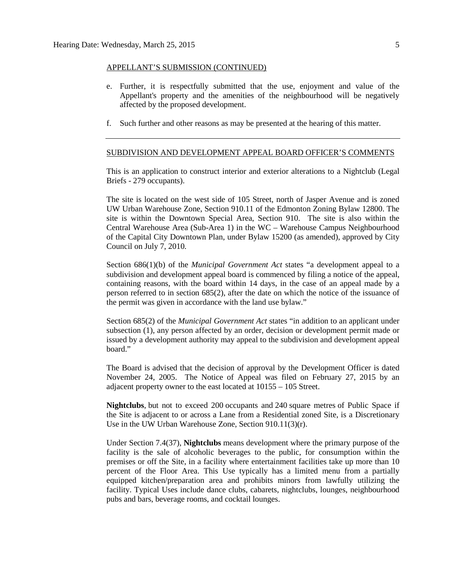#### APPELLANT'S SUBMISSION (CONTINUED)

- e. Further, it is respectfully submitted that the use, enjoyment and value of the Appellant's property and the amenities of the neighbourhood will be negatively affected by the proposed development.
- f. Such further and other reasons as may be presented at the hearing of this matter.

#### SUBDIVISION AND DEVELOPMENT APPEAL BOARD OFFICER'S COMMENTS

This is an application to construct interior and exterior alterations to a Nightclub (Legal Briefs - 279 occupants).

The site is located on the west side of 105 Street, north of Jasper Avenue and is zoned UW Urban Warehouse Zone, Section 910.11 of the Edmonton Zoning Bylaw 12800. The site is within the Downtown Special Area, Section 910. The site is also within the Central Warehouse Area (Sub-Area 1) in the WC – Warehouse Campus Neighbourhood of the Capital City Downtown Plan, under Bylaw 15200 (as amended), approved by City Council on July 7, 2010.

Section 686(1)(b) of the *Municipal Government Act* states "a development appeal to a subdivision and development appeal board is commenced by filing a notice of the appeal, containing reasons, with the board within 14 days, in the case of an appeal made by a person referred to in section 685(2), after the date on which the notice of the issuance of the permit was given in accordance with the land use bylaw."

Section 685(2) of the *Municipal Government Act* states "in addition to an applicant under subsection (1), any person affected by an order, decision or development permit made or issued by a development authority may appeal to the subdivision and development appeal board."

The Board is advised that the decision of approval by the Development Officer is dated November 24, 2005. The Notice of Appeal was filed on February 27, 2015 by an adjacent property owner to the east located at 10155 – 105 Street.

**Nightclubs**, but not to exceed 200 occupants and 240 square metres of Public Space if the Site is adjacent to or across a Lane from a Residential zoned Site, is a Discretionary Use in the UW Urban Warehouse Zone, Section 910.11(3)(r).

Under Section 7.4(37), **Nightclubs** means development where the primary purpose of the facility is the sale of alcoholic beverages to the public, for consumption within the premises or off the Site, in a facility where entertainment facilities take up more than 10 percent of the Floor Area. This Use typically has a limited menu from a partially equipped kitchen/preparation area and prohibits minors from lawfully utilizing the facility. Typical Uses include dance clubs, cabarets, nightclubs, lounges, neighbourhood pubs and bars, beverage rooms, and cocktail lounges.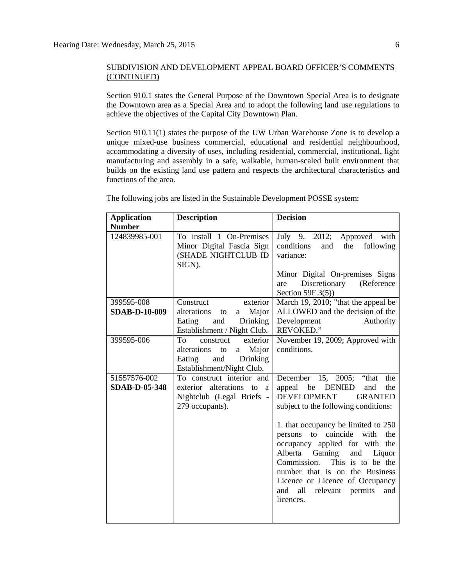#### SUBDIVISION AND DEVELOPMENT APPEAL BOARD OFFICER'S COMMENTS (CONTINUED)

Section 910.1 states the General Purpose of the Downtown Special Area is to designate the Downtown area as a Special Area and to adopt the following land use regulations to achieve the objectives of the Capital City Downtown Plan.

Section 910.11(1) states the purpose of the UW Urban Warehouse Zone is to develop a unique mixed-use business commercial, educational and residential neighbourhood, accommodating a diversity of uses, including residential, commercial, institutional, light manufacturing and assembly in a safe, walkable, human-scaled built environment that builds on the existing land use pattern and respects the architectural characteristics and functions of the area.

| <b>Application</b>                                    | <b>Description</b>                                       | <b>Decision</b>                                                         |
|-------------------------------------------------------|----------------------------------------------------------|-------------------------------------------------------------------------|
| <b>Number</b><br>124839985-001                        |                                                          |                                                                         |
| To install 1 On-Premises<br>Minor Digital Fascia Sign |                                                          | July 9, 2012;<br>Approved with<br>conditions<br>following<br>and<br>the |
|                                                       | (SHADE NIGHTCLUB ID                                      | variance:                                                               |
|                                                       | SIGN).                                                   |                                                                         |
|                                                       |                                                          | Minor Digital On-premises Signs                                         |
|                                                       |                                                          | Discretionary (Reference<br>are                                         |
|                                                       |                                                          | Section $59F.3(5)$ )                                                    |
| 399595-008                                            | Construct<br>exterior                                    | March 19, 2010; "that the appeal be                                     |
| <b>SDAB-D-10-009</b>                                  | alterations<br>Major<br>to<br>a                          | ALLOWED and the decision of the                                         |
|                                                       | and<br>Drinking<br>Eating<br>Establishment / Night Club. | Development<br>Authority<br><b>REVOKED."</b>                            |
| 399595-006                                            | exterior<br>construct<br>To                              | November 19, 2009; Approved with                                        |
|                                                       | alterations<br>a Major<br>to                             | conditions.                                                             |
|                                                       | and<br>Eating<br>Drinking                                |                                                                         |
|                                                       | Establishment/Night Club.                                |                                                                         |
| 51557576-002                                          | To construct interior and                                | December 15, 2005; "that<br>the                                         |
| <b>SDAB-D-05-348</b>                                  | exterior alterations to a                                | <b>DENIED</b><br>the<br>appeal be<br>and                                |
|                                                       | Nightclub (Legal Briefs -                                | <b>DEVELOPMENT</b><br><b>GRANTED</b>                                    |
|                                                       | 279 occupants).                                          | subject to the following conditions:                                    |
|                                                       |                                                          | 1. that occupancy be limited to 250                                     |
|                                                       |                                                          | coincide<br>with<br>the<br>to<br>persons                                |
|                                                       |                                                          | occupancy applied for with the                                          |
|                                                       |                                                          | Alberta Gaming<br>and<br>Liquor                                         |
|                                                       |                                                          | Commission. This is to be the                                           |
|                                                       |                                                          | number that is on the Business                                          |
|                                                       |                                                          | Licence or Licence of Occupancy                                         |
|                                                       |                                                          | all relevant permits<br>and<br>and<br>licences.                         |
|                                                       |                                                          |                                                                         |
|                                                       |                                                          |                                                                         |

The following jobs are listed in the Sustainable Development POSSE system: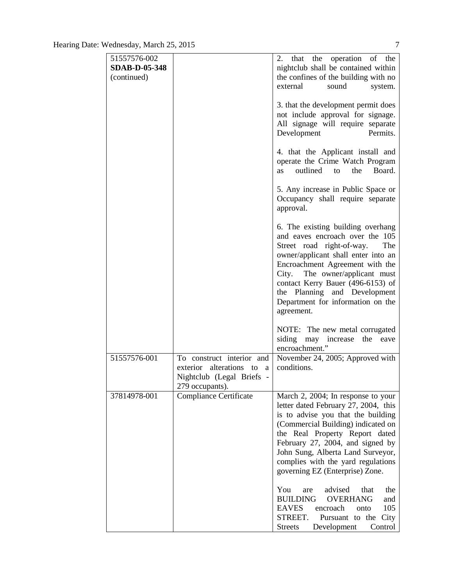| 51557576-002         |                                                                                                           | operation of the<br>2.<br>the<br>that                                                                                                                                                                                                                                                                                                                                              |
|----------------------|-----------------------------------------------------------------------------------------------------------|------------------------------------------------------------------------------------------------------------------------------------------------------------------------------------------------------------------------------------------------------------------------------------------------------------------------------------------------------------------------------------|
| <b>SDAB-D-05-348</b> |                                                                                                           | nightclub shall be contained within                                                                                                                                                                                                                                                                                                                                                |
| (continued)          |                                                                                                           | the confines of the building with no                                                                                                                                                                                                                                                                                                                                               |
|                      |                                                                                                           | external<br>sound<br>system.                                                                                                                                                                                                                                                                                                                                                       |
|                      |                                                                                                           | 3. that the development permit does<br>not include approval for signage.<br>All signage will require separate<br>Permits.<br>Development                                                                                                                                                                                                                                           |
|                      |                                                                                                           | 4. that the Applicant install and<br>operate the Crime Watch Program<br>outlined<br>the<br>Board.<br>to<br>as                                                                                                                                                                                                                                                                      |
|                      |                                                                                                           | 5. Any increase in Public Space or<br>Occupancy shall require separate<br>approval.                                                                                                                                                                                                                                                                                                |
|                      |                                                                                                           | 6. The existing building overhang<br>and eaves encroach over the 105<br>Street road right-of-way.<br>The<br>owner/applicant shall enter into an<br>Encroachment Agreement with the<br>City. The owner/applicant must<br>contact Kerry Bauer (496-6153) of<br>the Planning and Development<br>Department for information on the<br>agreement.                                       |
|                      |                                                                                                           | NOTE: The new metal corrugated<br>siding may increase<br>the<br>eave<br>encroachment."                                                                                                                                                                                                                                                                                             |
| 51557576-001         | To construct interior and<br>alterations to a<br>exterior<br>Nightclub (Legal Briefs -<br>279 occupants). | November 24, 2005; Approved with<br>conditions.                                                                                                                                                                                                                                                                                                                                    |
| 37814978-001         | <b>Compliance Certificate</b>                                                                             | March 2, 2004; In response to your<br>letter dated February 27, 2004, this<br>is to advise you that the building<br>(Commercial Building) indicated on<br>the Real Property Report dated<br>February 27, 2004, and signed by<br>John Sung, Alberta Land Surveyor,<br>complies with the yard regulations<br>governing EZ (Enterprise) Zone.<br>advised<br>that<br>You<br>are<br>the |
|                      |                                                                                                           | <b>BUILDING</b><br><b>OVERHANG</b><br>and<br><b>EAVES</b><br>105<br>encroach<br>onto<br>STREET.<br>Pursuant to the<br>City<br>Streets<br>Development<br>Control                                                                                                                                                                                                                    |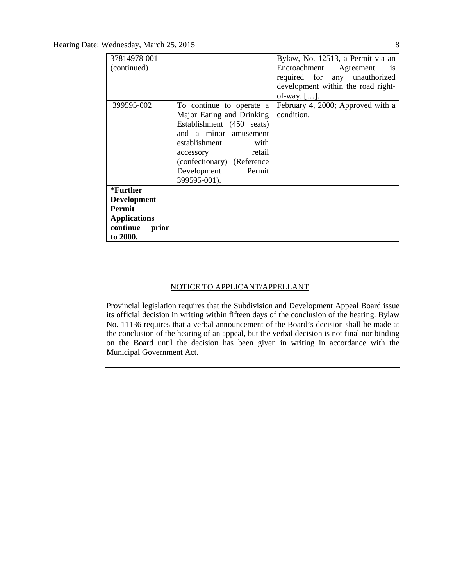| 37814978-001        |                             | Bylaw, No. 12513, a Permit via an   |
|---------------------|-----------------------------|-------------------------------------|
| (continued)         |                             | Encroachment Agreement<br><b>1S</b> |
|                     |                             | required for any unauthorized       |
|                     |                             | development within the road right-  |
|                     |                             | of-way. $[]$ .                      |
| 399595-002          | To continue to operate a    | February 4, 2000; Approved with a   |
|                     | Major Eating and Drinking   | condition.                          |
|                     | Establishment (450 seats)   |                                     |
|                     | and a minor amusement       |                                     |
|                     | establishment<br>with       |                                     |
|                     | retail<br>accessory         |                                     |
|                     | (confectionary) (Reference) |                                     |
|                     | Development<br>Permit       |                                     |
|                     | 399595-001).                |                                     |
| *Further            |                             |                                     |
| <b>Development</b>  |                             |                                     |
| Permit              |                             |                                     |
| <b>Applications</b> |                             |                                     |
| continue<br>prior   |                             |                                     |
| to 2000.            |                             |                                     |

### NOTICE TO APPLICANT/APPELLANT

Provincial legislation requires that the Subdivision and Development Appeal Board issue its official decision in writing within fifteen days of the conclusion of the hearing. Bylaw No. 11136 requires that a verbal announcement of the Board's decision shall be made at the conclusion of the hearing of an appeal, but the verbal decision is not final nor binding on the Board until the decision has been given in writing in accordance with the Municipal Government Act.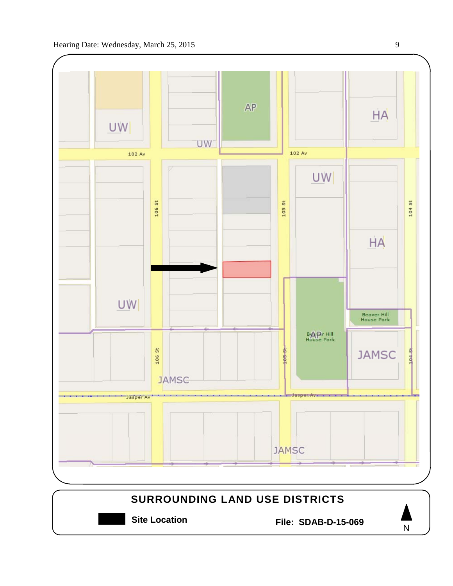